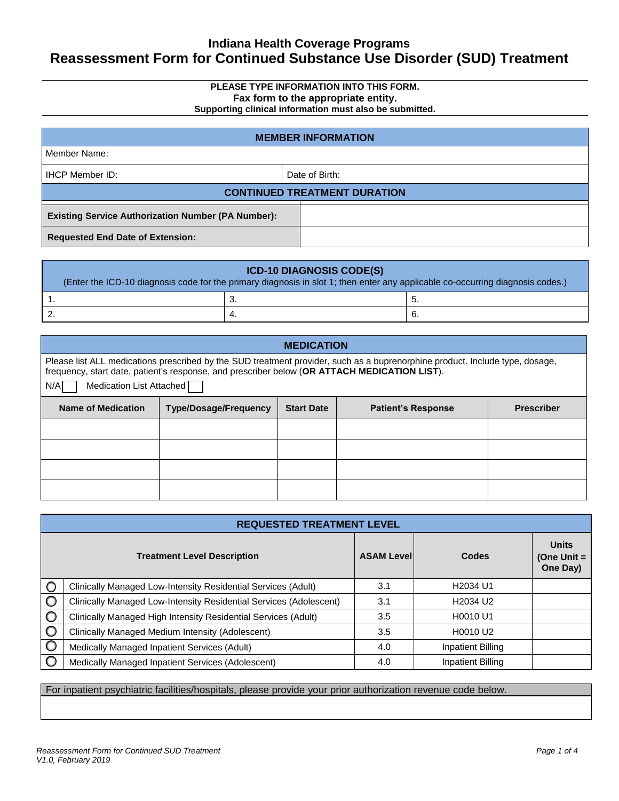### **Indiana Health Coverage Programs Reassessment Form for Continued Substance Use Disorder (SUD) Treatment**

### **PLEASE TYPE INFORMATION INTO THIS FORM. Fax form to the appropriate entity.**

**Supporting clinical information must also be submitted.**

| <b>MEMBER INFORMATION</b>                                 |                |  |
|-----------------------------------------------------------|----------------|--|
| Member Name:                                              |                |  |
| <b>IHCP Member ID:</b>                                    | Date of Birth: |  |
| <b>CONTINUED TREATMENT DURATION</b>                       |                |  |
| <b>Existing Service Authorization Number (PA Number):</b> |                |  |
| <b>Requested End Date of Extension:</b>                   |                |  |

| <b>ICD-10 DIAGNOSIS CODE(S)</b><br>(Enter the ICD-10 diagnosis code for the primary diagnosis in slot 1; then enter any applicable co-occurring diagnosis codes.) |      |     |
|-------------------------------------------------------------------------------------------------------------------------------------------------------------------|------|-----|
|                                                                                                                                                                   | . ب  | ່ວ. |
|                                                                                                                                                                   | - 4. | ხ.  |

| <b>MEDICATION</b>                                                                                                                                                                                                                                               |                              |                   |                           |                   |
|-----------------------------------------------------------------------------------------------------------------------------------------------------------------------------------------------------------------------------------------------------------------|------------------------------|-------------------|---------------------------|-------------------|
| Please list ALL medications prescribed by the SUD treatment provider, such as a buprenorphine product. Include type, dosage,<br>frequency, start date, patient's response, and prescriber below (OR ATTACH MEDICATION LIST).<br>N/A<br>Medication List Attached |                              |                   |                           |                   |
| Name of Medication                                                                                                                                                                                                                                              | <b>Type/Dosage/Frequency</b> | <b>Start Date</b> | <b>Patient's Response</b> | <b>Prescriber</b> |
|                                                                                                                                                                                                                                                                 |                              |                   |                           |                   |
|                                                                                                                                                                                                                                                                 |                              |                   |                           |                   |
|                                                                                                                                                                                                                                                                 |                              |                   |                           |                   |
|                                                                                                                                                                                                                                                                 |                              |                   |                           |                   |

| <b>REQUESTED TREATMENT LEVEL</b> |                                                                    |                   |                                  |                                           |
|----------------------------------|--------------------------------------------------------------------|-------------------|----------------------------------|-------------------------------------------|
|                                  | <b>Treatment Level Description</b>                                 | <b>ASAM Level</b> | Codes                            | <b>Units</b><br>(One Unit $=$<br>One Day) |
| $\circ$                          | Clinically Managed Low-Intensity Residential Services (Adult)      | 3.1               | H <sub>2034</sub> U <sub>1</sub> |                                           |
| C                                | Clinically Managed Low-Intensity Residential Services (Adolescent) | 3.1               | H <sub>2034</sub> U <sub>2</sub> |                                           |
| C                                | Clinically Managed High Intensity Residential Services (Adult)     | 3.5               | H0010 U1                         |                                           |
| $\circ$                          | Clinically Managed Medium Intensity (Adolescent)                   | 3.5               | H0010 U2                         |                                           |
| O                                | Medically Managed Inpatient Services (Adult)                       | 4.0               | <b>Inpatient Billing</b>         |                                           |
|                                  | Medically Managed Inpatient Services (Adolescent)                  | 4.0               | <b>Inpatient Billing</b>         |                                           |

#### For inpatient psychiatric facilities/hospitals, please provide your prior authorization revenue code below.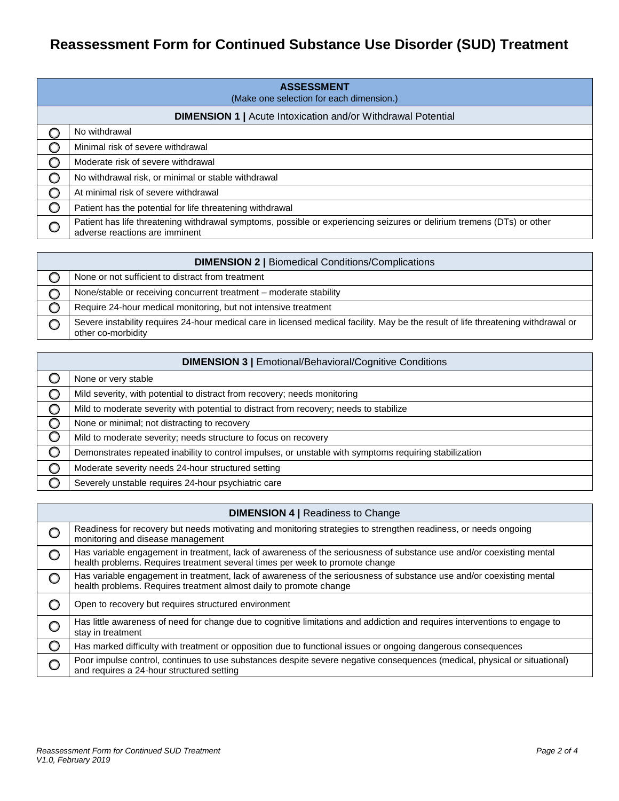# **Reassessment Form for Continued Substance Use Disorder (SUD) Treatment**

| <b>ASSESSMENT</b><br>(Make one selection for each dimension.) |                                                                                                                                                          |  |  |
|---------------------------------------------------------------|----------------------------------------------------------------------------------------------------------------------------------------------------------|--|--|
|                                                               | <b>DIMENSION 1   Acute Intoxication and/or Withdrawal Potential</b>                                                                                      |  |  |
|                                                               | No withdrawal                                                                                                                                            |  |  |
|                                                               | Minimal risk of severe withdrawal                                                                                                                        |  |  |
|                                                               | Moderate risk of severe withdrawal                                                                                                                       |  |  |
|                                                               | No withdrawal risk, or minimal or stable withdrawal                                                                                                      |  |  |
|                                                               | At minimal risk of severe withdrawal                                                                                                                     |  |  |
| O                                                             | Patient has the potential for life threatening withdrawal                                                                                                |  |  |
|                                                               | Patient has life threatening withdrawal symptoms, possible or experiencing seizures or delirium tremens (DTs) or other<br>adverse reactions are imminent |  |  |

| <b>DIMENSION 2   Biomedical Conditions/Complications</b>                                                                                                 |  |  |
|----------------------------------------------------------------------------------------------------------------------------------------------------------|--|--|
| None or not sufficient to distract from treatment                                                                                                        |  |  |
| None/stable or receiving concurrent treatment - moderate stability                                                                                       |  |  |
| Require 24-hour medical monitoring, but not intensive treatment                                                                                          |  |  |
| Severe instability requires 24-hour medical care in licensed medical facility. May be the result of life threatening withdrawal or<br>other co-morbidity |  |  |

| <b>DIMENSION 3   Emotional/Behavioral/Cognitive Conditions</b> |                                                                                                        |  |
|----------------------------------------------------------------|--------------------------------------------------------------------------------------------------------|--|
|                                                                | None or very stable                                                                                    |  |
|                                                                | Mild severity, with potential to distract from recovery; needs monitoring                              |  |
|                                                                | Mild to moderate severity with potential to distract from recovery; needs to stabilize                 |  |
|                                                                | None or minimal; not distracting to recovery                                                           |  |
|                                                                | Mild to moderate severity; needs structure to focus on recovery                                        |  |
| $\circ$                                                        | Demonstrates repeated inability to control impulses, or unstable with symptoms requiring stabilization |  |
|                                                                | Moderate severity needs 24-hour structured setting                                                     |  |
|                                                                | Severely unstable requires 24-hour psychiatric care                                                    |  |

| <b>DIMENSION 4   Readiness to Change</b> |                                                                                                                                                                                                      |  |
|------------------------------------------|------------------------------------------------------------------------------------------------------------------------------------------------------------------------------------------------------|--|
|                                          | Readiness for recovery but needs motivating and monitoring strategies to strengthen readiness, or needs ongoing<br>monitoring and disease management                                                 |  |
|                                          | Has variable engagement in treatment, lack of awareness of the seriousness of substance use and/or coexisting mental<br>health problems. Requires treatment several times per week to promote change |  |
|                                          | Has variable engagement in treatment, lack of awareness of the seriousness of substance use and/or coexisting mental<br>health problems. Requires treatment almost daily to promote change           |  |
|                                          | Open to recovery but requires structured environment                                                                                                                                                 |  |
|                                          | Has little awareness of need for change due to cognitive limitations and addiction and requires interventions to engage to<br>stay in treatment                                                      |  |
| O                                        | Has marked difficulty with treatment or opposition due to functional issues or ongoing dangerous consequences                                                                                        |  |
|                                          | Poor impulse control, continues to use substances despite severe negative consequences (medical, physical or situational)<br>and requires a 24-hour structured setting                               |  |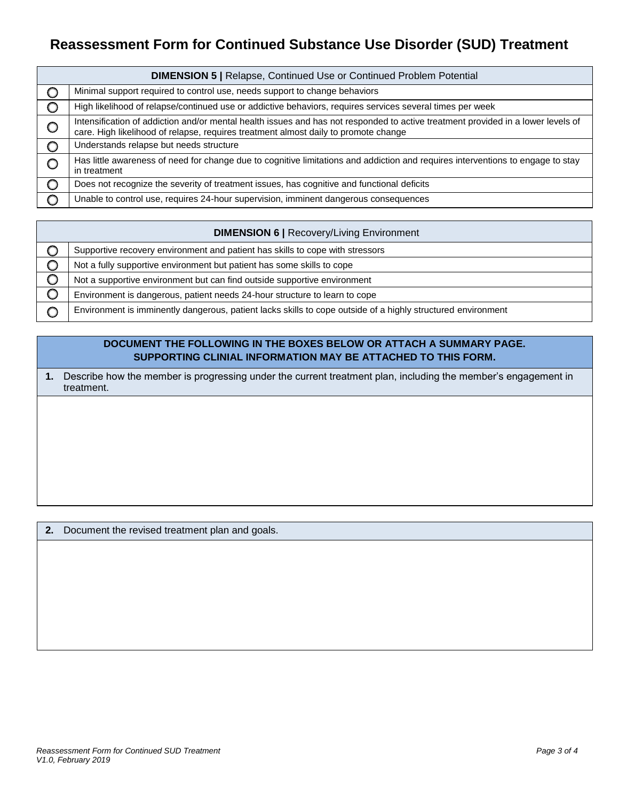# **Reassessment Form for Continued Substance Use Disorder (SUD) Treatment**

| <b>DIMENSION 5   Relapse, Continued Use or Continued Problem Potential</b> |                                                                                                                                                                                                                         |  |
|----------------------------------------------------------------------------|-------------------------------------------------------------------------------------------------------------------------------------------------------------------------------------------------------------------------|--|
| O                                                                          | Minimal support required to control use, needs support to change behaviors                                                                                                                                              |  |
| $\circ$                                                                    | High likelihood of relapse/continued use or addictive behaviors, requires services several times per week                                                                                                               |  |
| $\circ$                                                                    | Intensification of addiction and/or mental health issues and has not responded to active treatment provided in a lower levels of<br>care. High likelihood of relapse, requires treatment almost daily to promote change |  |
| $\circ$                                                                    | Understands relapse but needs structure                                                                                                                                                                                 |  |
|                                                                            | Has little awareness of need for change due to cognitive limitations and addiction and requires interventions to engage to stay<br>in treatment                                                                         |  |
| $\circ$                                                                    | Does not recognize the severity of treatment issues, has cognitive and functional deficits                                                                                                                              |  |
|                                                                            | Unable to control use, requires 24-hour supervision, imminent dangerous consequences                                                                                                                                    |  |

| <b>DIMENSION 6   Recovery/Living Environment</b> |                                                                                                              |  |
|--------------------------------------------------|--------------------------------------------------------------------------------------------------------------|--|
|                                                  | Supportive recovery environment and patient has skills to cope with stressors                                |  |
|                                                  | Not a fully supportive environment but patient has some skills to cope                                       |  |
|                                                  | Not a supportive environment but can find outside supportive environment                                     |  |
|                                                  | Environment is dangerous, patient needs 24-hour structure to learn to cope                                   |  |
|                                                  | Environment is imminently dangerous, patient lacks skills to cope outside of a highly structured environment |  |

### **DOCUMENT THE FOLLOWING IN THE BOXES BELOW OR ATTACH A SUMMARY PAGE. SUPPORTING CLINIAL INFORMATION MAY BE ATTACHED TO THIS FORM.**

**1.** Describe how the member is progressing under the current treatment plan, including the member's engagement in treatment.

**2.** Document the revised treatment plan and goals.